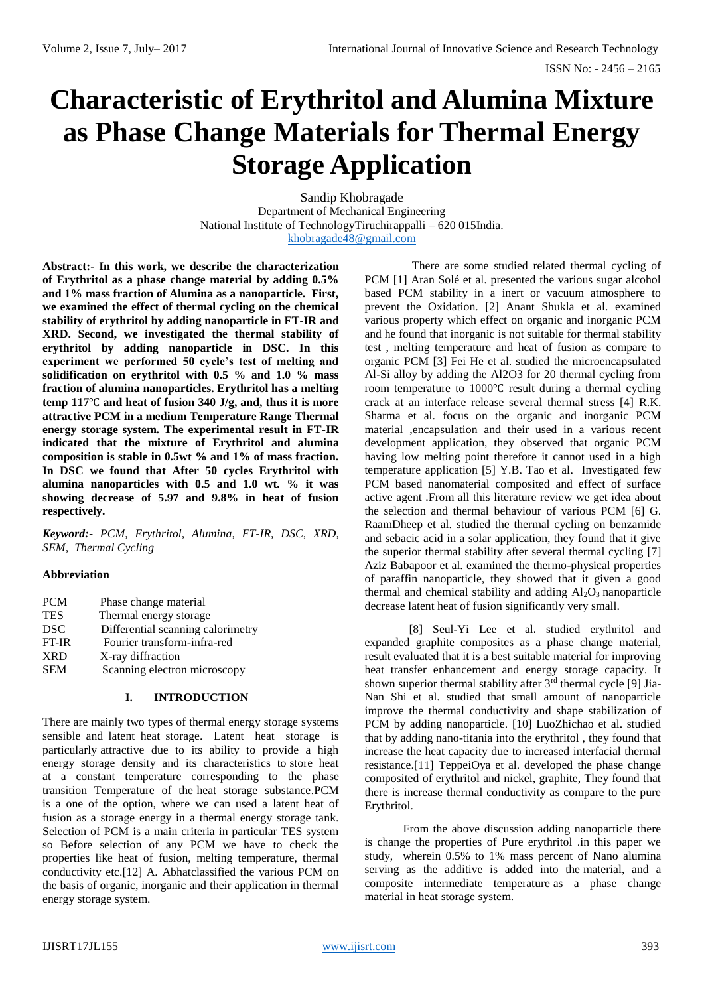# **Characteristic of Erythritol and Alumina Mixture as Phase Change Materials for Thermal Energy Storage Application**

Sandip Khobragade Department of Mechanical Engineering National Institute of TechnologyTiruchirappalli – 620 015India. [khobragade48@gmail.com](mailto:khobragade48@gmail.com)

**Abstract:- In this work, we describe the characterization of Erythritol as a phase change material by adding 0.5% and 1% mass fraction of Alumina as a nanoparticle. First, we examined the effect of thermal cycling on the chemical stability of erythritol by adding nanoparticle in FT-IR and XRD. Second, we investigated the thermal stability of erythritol by adding nanoparticle in DSC. In this experiment we performed 50 cycle's test of melting and solidification on erythritol with 0.5 % and 1.0 % mass fraction of alumina nanoparticles. Erythritol has a melting temp 117**℃ **and heat of fusion 340 J/g, and, thus it is more attractive PCM in a medium Temperature Range Thermal energy storage system. The experimental result in FT-IR indicated that the mixture of Erythritol and alumina composition is stable in 0.5wt % and 1% of mass fraction. In DSC we found that After 50 cycles Erythritol with alumina nanoparticles with 0.5 and 1.0 wt. % it was showing decrease of 5.97 and 9.8% in heat of fusion respectively.** 

*Keyword:- PCM, Erythritol, Alumina, FT-IR, DSC, XRD, SEM, Thermal Cycling* 

## **Abbreviation**

| Phase change material             |
|-----------------------------------|
| Thermal energy storage            |
| Differential scanning calorimetry |
| Fourier transform-infra-red       |
| X-ray diffraction                 |
| Scanning electron microscopy      |
|                                   |

## **I. INTRODUCTION**

There are mainly two types of thermal energy storage systems sensible and latent heat storage. Latent heat storage is particularly attractive due to its ability to provide a high energy storage density and its characteristics to store heat at a constant temperature corresponding to the phase transition Temperature of the heat storage substance.PCM is a one of the option, where we can used a latent heat of fusion as a storage energy in a thermal energy storage tank. Selection of PCM is a main criteria in particular TES system so Before selection of any PCM we have to check the properties like heat of fusion, melting temperature, thermal conductivity etc.[12] A. Abhatclassified the various PCM on the basis of organic, inorganic and their application in thermal energy storage system.

 There are some studied related thermal cycling of PCM [1] Aran Solé et al. presented the various sugar alcohol based PCM stability in a inert or vacuum atmosphere to prevent the Oxidation. [2] Anant Shukla et al. examined various property which effect on organic and inorganic PCM and he found that inorganic is not suitable for thermal stability test , melting temperature and heat of fusion as compare to organic PCM [3] Fei He et al. studied the microencapsulated Al-Si alloy by adding the Al2O3 for 20 thermal cycling from room temperature to 1000℃ result during a thermal cycling crack at an interface release several thermal stress [4] R.K. Sharma et al. focus on the organic and inorganic PCM material ,encapsulation and their used in a various recent development application, they observed that organic PCM having low melting point therefore it cannot used in a high temperature application [5] Y.B. Tao et al. Investigated few PCM based nanomaterial composited and effect of surface active agent .From all this literature review we get idea about the selection and thermal behaviour of various PCM [6] G. RaamDheep et al. studied the thermal cycling on benzamide and sebacic acid in a solar application, they found that it give the superior thermal stability after several thermal cycling [7] Aziz Babapoor et al. examined the thermo-physical properties of paraffin nanoparticle, they showed that it given a good thermal and chemical stability and adding  $Al_2O_3$  nanoparticle decrease latent heat of fusion significantly very small.

 [8] Seul-Yi Lee et al. studied erythritol and expanded graphite composites as a phase change material, result evaluated that it is a best suitable material for improving heat transfer enhancement and energy storage capacity. It shown superior thermal stability after  $3<sup>rd</sup>$  thermal cycle [9] Jia-Nan Shi et al. studied that small amount of nanoparticle improve the thermal conductivity and shape stabilization of PCM by adding nanoparticle. [10] LuoZhichao et al. studied that by adding nano-titania into the erythritol , they found that increase the heat capacity due to increased interfacial thermal resistance.[11] TeppeiOya et al. developed the phase change composited of erythritol and nickel, graphite, They found that there is increase thermal conductivity as compare to the pure Erythritol.

 From the above discussion adding nanoparticle there is change the properties of Pure erythritol .in this paper we study, wherein 0.5% to 1% mass percent of Nano alumina serving as the additive is added into the material, and a composite intermediate temperature as a phase change material in heat storage system.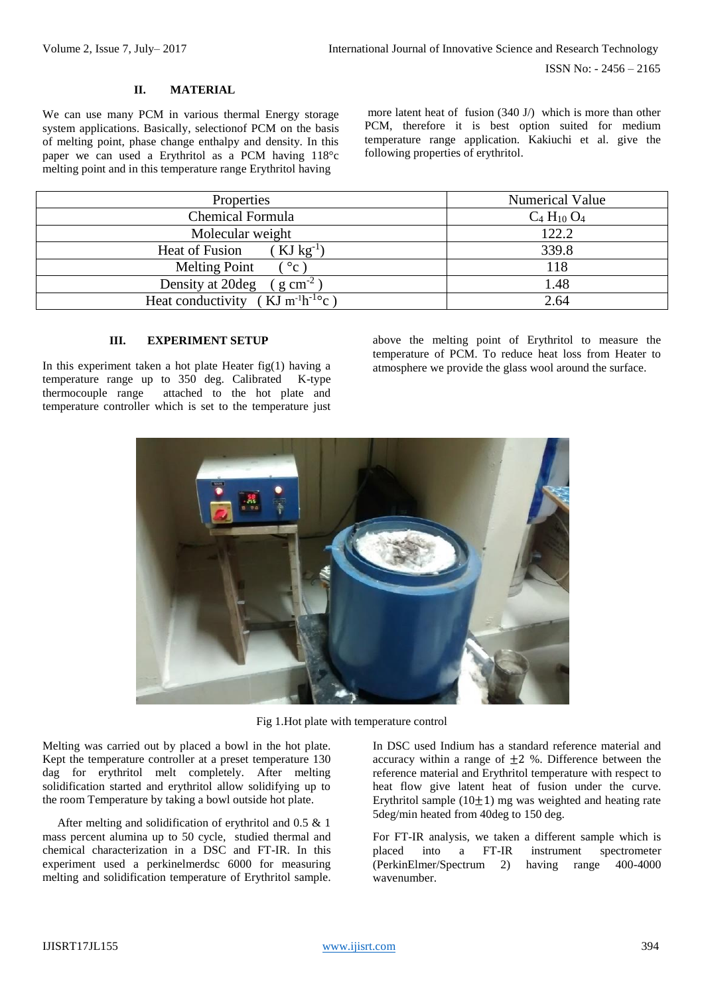ISSN No: - 2456 – 2165

## **II. MATERIAL**

We can use many PCM in various thermal Energy storage system applications. Basically, selectionof PCM on the basis of melting point, phase change enthalpy and density. In this paper we can used a Erythritol as a PCM having 118°c melting point and in this temperature range Erythritol having

more latent heat of fusion (340 J/) which is more than other PCM, therefore it is best option suited for medium temperature range application. Kakiuchi et al. give the following properties of erythritol.

| <b>Properties</b>                                         | Numerical Value  |
|-----------------------------------------------------------|------------------|
| Chemical Formula                                          | $C_4 H_{10} O_4$ |
| Molecular weight                                          | 122.2            |
| KJ $kg^{-1}$<br>Heat of Fusion                            | 339.8            |
| <b>Melting Point</b><br>$\cdot$ $^{\circ}c$ $^{\circ}$    | 118              |
| g cm <sup>-2</sup> )<br>Density at 20deg                  | 1.48             |
| Heat conductivity (KJ m <sup>-1</sup> h <sup>-1</sup> °c) | 2.64             |

## **III. EXPERIMENT SETUP**

In this experiment taken a hot plate Heater  $fig(1)$  having a temperature range up to 350 deg. Calibrated K-type thermocouple range attached to the hot plate and temperature controller which is set to the temperature just above the melting point of Erythritol to measure the temperature of PCM. To reduce heat loss from Heater to atmosphere we provide the glass wool around the surface.



Fig 1.Hot plate with temperature control

Melting was carried out by placed a bowl in the hot plate. Kept the temperature controller at a preset temperature 130 dag for erythritol melt completely. After melting solidification started and erythritol allow solidifying up to the room Temperature by taking a bowl outside hot plate.

 After melting and solidification of erythritol and 0.5 & 1 mass percent alumina up to 50 cycle, studied thermal and chemical characterization in a DSC and FT-IR. In this experiment used a perkinelmerdsc 6000 for measuring melting and solidification temperature of Erythritol sample. In DSC used Indium has a standard reference material and accuracy within a range of  $+2$  %. Difference between the reference material and Erythritol temperature with respect to heat flow give latent heat of fusion under the curve. Erythritol sample  $(10\pm 1)$  mg was weighted and heating rate 5deg/min heated from 40deg to 150 deg.

For FT-IR analysis, we taken a different sample which is placed into a FT-IR instrument spectrometer (PerkinElmer/Spectrum 2) having range 400-4000 wavenumber.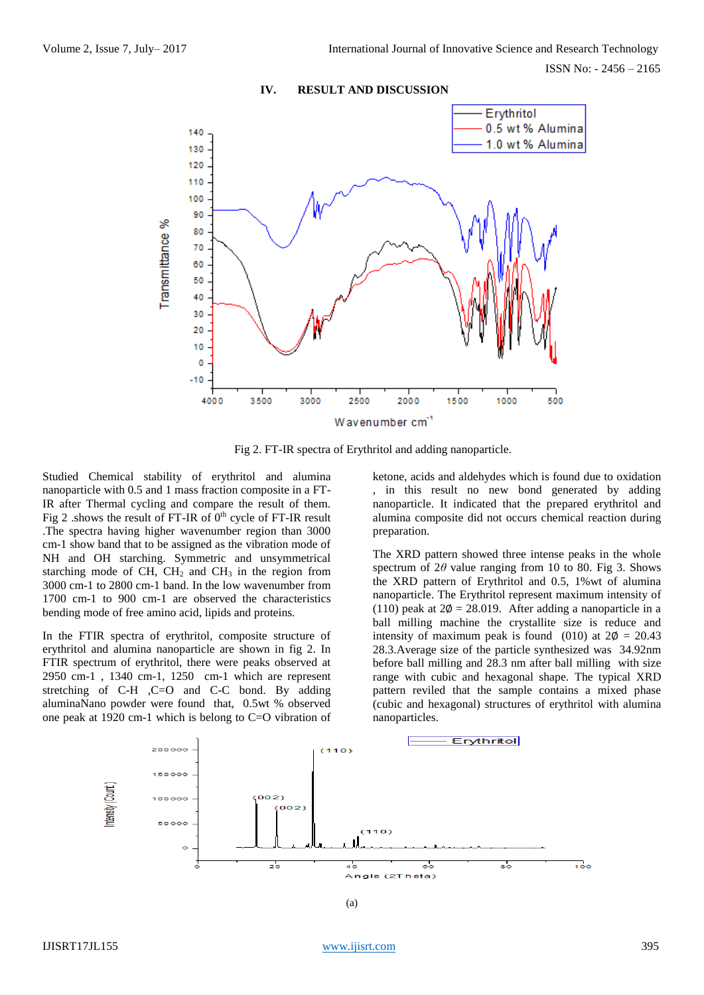

#### **IV. RESULT AND DISCUSSION**

Fig 2. FT-IR spectra of Erythritol and adding nanoparticle.

Studied Chemical stability of erythritol and alumina nanoparticle with 0.5 and 1 mass fraction composite in a FT-IR after Thermal cycling and compare the result of them. Fig 2 .shows the result of FT-IR of  $0<sup>th</sup>$  cycle of FT-IR result .The spectra having higher wavenumber region than 3000 cm-1 show band that to be assigned as the vibration mode of NH and OH starching. Symmetric and unsymmetrical starching mode of CH,  $CH<sub>2</sub>$  and CH<sub>3</sub> in the region from 3000 cm-1 to 2800 cm-1 band. In the low wavenumber from 1700 cm-1 to 900 cm-1 are observed the characteristics bending mode of free amino acid, lipids and proteins.

In the FTIR spectra of erythritol, composite structure of erythritol and alumina nanoparticle are shown in fig 2. In FTIR spectrum of erythritol, there were peaks observed at 2950 cm-1 , 1340 cm-1, 1250 cm-1 which are represent stretching of C-H ,C=O and C-C bond. By adding aluminaNano powder were found that, 0.5wt % observed one peak at 1920 cm-1 which is belong to C=O vibration of ketone, acids and aldehydes which is found due to oxidation , in this result no new bond generated by adding nanoparticle. It indicated that the prepared erythritol and alumina composite did not occurs chemical reaction during preparation.

The XRD pattern showed three intense peaks in the whole spectrum of 2*θ* value ranging from 10 to 80. Fig 3. Shows the XRD pattern of Erythritol and 0.5, 1%wt of alumina nanoparticle. The Erythritol represent maximum intensity of (110) peak at  $2\phi = 28.019$ . After adding a nanoparticle in a ball milling machine the crystallite size is reduce and intensity of maximum peak is found (010) at  $2\phi = 20.43$ 28.3.Average size of the particle synthesized was 34.92nm before ball milling and 28.3 nm after ball milling with size range with cubic and hexagonal shape. The typical XRD pattern reviled that the sample contains a mixed phase (cubic and hexagonal) structures of erythritol with alumina nanoparticles.

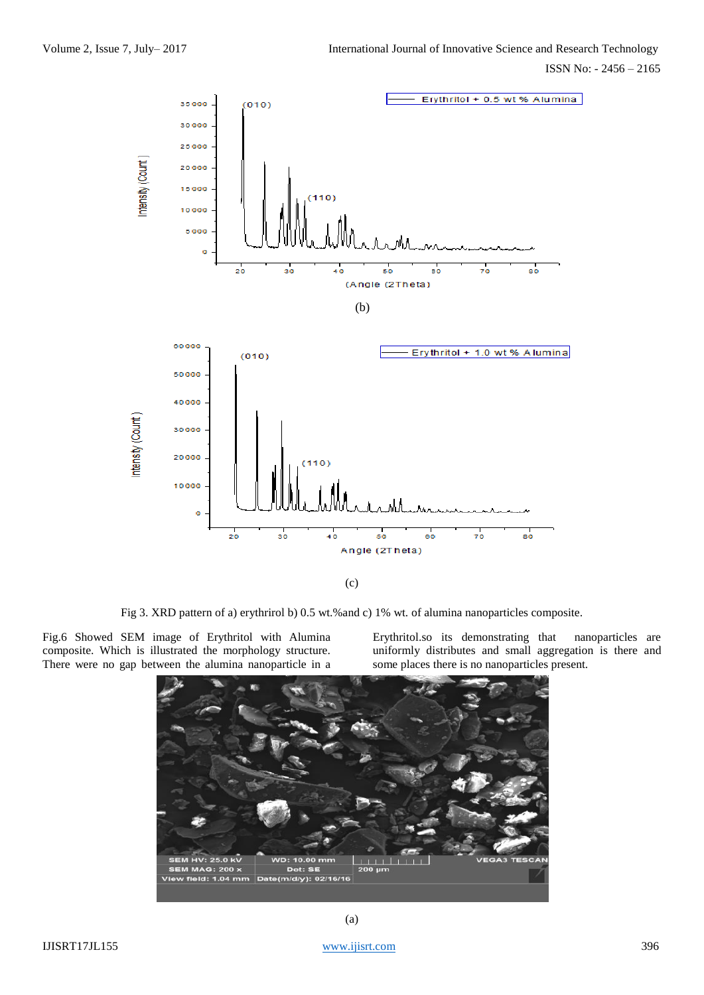ISSN No: - 2456 – 2165





Fig 3. XRD pattern of a) erythrirol b) 0.5 wt.%and c) 1% wt. of alumina nanoparticles composite.

Fig.6 Showed SEM image of Erythritol with Alumina composite. Which is illustrated the morphology structure. There were no gap between the alumina nanoparticle in a

Erythritol.so its demonstrating that nanoparticles are uniformly distributes and small aggregation is there and some places there is no nanoparticles present.

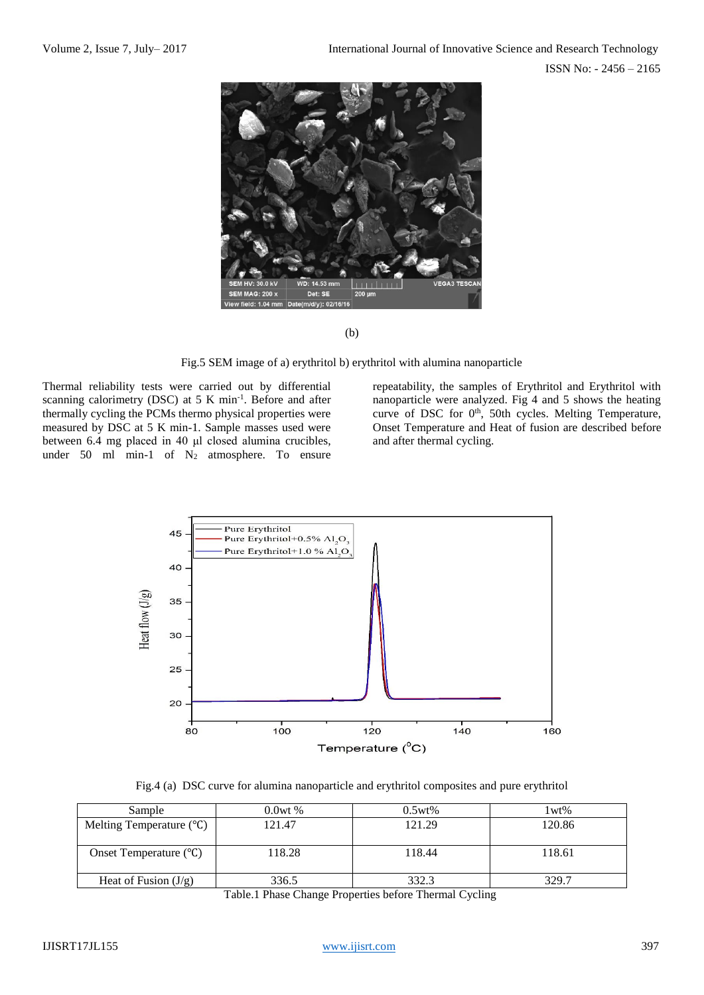



Fig.5 SEM image of a) erythritol b) erythritol with alumina nanoparticle

Thermal reliability tests were carried out by differential scanning calorimetry (DSC) at 5 K min<sup>-1</sup>. Before and after thermally cycling the PCMs thermo physical properties were measured by DSC at 5 K min-1. Sample masses used were between 6.4 mg placed in 40 μl closed alumina crucibles, under 50 ml min-1 of  $N_2$  atmosphere. To ensure

repeatability, the samples of Erythritol and Erythritol with nanoparticle were analyzed. Fig 4 and 5 shows the heating curve of DSC for  $0<sup>th</sup>$ , 50th cycles. Melting Temperature, Onset Temperature and Heat of fusion are described before and after thermal cycling.



Fig.4 (a) DSC curve for alumina nanoparticle and erythritol composites and pure erythritol

| Sample                                                               | $0.0$ wt $\%$ | 0.5wt% | l wt%  |  |  |
|----------------------------------------------------------------------|---------------|--------|--------|--|--|
| Melting Temperature $(^{\circ}C)$                                    | 121.47        | 121.29 | 120.86 |  |  |
|                                                                      |               |        |        |  |  |
| Onset Temperature $(^{\circ}C)$                                      | 118.28        | 118.44 | 118.61 |  |  |
|                                                                      |               |        |        |  |  |
| Heat of Fusion $(J/g)$                                               | 336.5         | 332.3  | 329.7  |  |  |
| $T = 11.1 \, \text{N}$ $\sim 1.0 \, \text{N}$ $\sim 1.0 \, \text{N}$ |               |        |        |  |  |

Table.1 Phase Change Properties before Thermal Cycling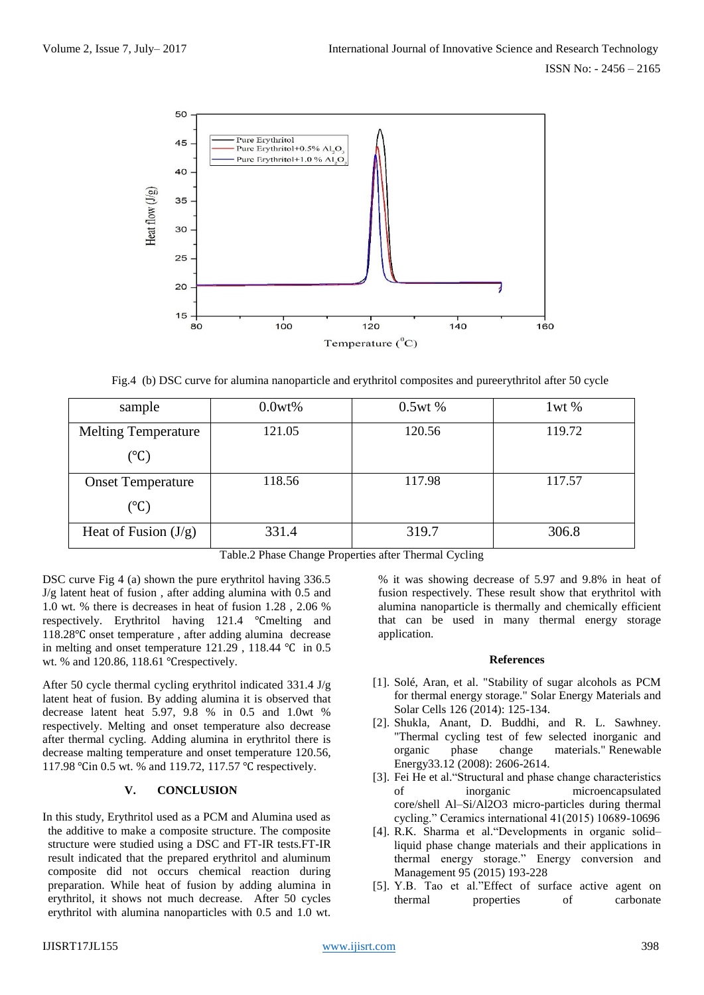

Fig.4 (b) DSC curve for alumina nanoparticle and erythritol composites and pureerythritol after 50 cycle

| sample                     | 0.0wt% | 0.5wt% | $1wt$ % |
|----------------------------|--------|--------|---------|
| <b>Melting Temperature</b> | 121.05 | 120.56 | 119.72  |
| (°C)                       |        |        |         |
| <b>Onset Temperature</b>   | 118.56 | 117.98 | 117.57  |
| (°C)                       |        |        |         |
| Heat of Fusion $(J/g)$     | 331.4  | 319.7  | 306.8   |

Table.2 Phase Change Properties after Thermal Cycling

DSC curve Fig 4 (a) shown the pure erythritol having 336.5 J/g latent heat of fusion , after adding alumina with 0.5 and 1.0 wt. % there is decreases in heat of fusion 1.28 , 2.06 % respectively. Erythritol having 121.4 ℃melting and 118.28℃ onset temperature , after adding alumina decrease in melting and onset temperature 121.29 , 118.44 ℃ in 0.5 wt. % and 120.86, 118.61 °Crespectively.

After 50 cycle thermal cycling erythritol indicated 331.4 J/g latent heat of fusion. By adding alumina it is observed that decrease latent heat 5.97, 9.8 % in 0.5 and 1.0wt % respectively. Melting and onset temperature also decrease after thermal cycling. Adding alumina in erythritol there is decrease malting temperature and onset temperature 120.56, 117.98 ℃in 0.5 wt. % and 119.72, 117.57 ℃ respectively.

## **V. CONCLUSION**

In this study, Erythritol used as a PCM and Alumina used as the additive to make a composite structure. The composite structure were studied using a DSC and FT-IR tests.FT-IR result indicated that the prepared erythritol and aluminum composite did not occurs chemical reaction during preparation. While heat of fusion by adding alumina in erythritol, it shows not much decrease. After 50 cycles erythritol with alumina nanoparticles with 0.5 and 1.0 wt.

% it was showing decrease of 5.97 and 9.8% in heat of fusion respectively. These result show that erythritol with alumina nanoparticle is thermally and chemically efficient that can be used in many thermal energy storage application.

#### **References**

- [1]. Solé, Aran, et al. "Stability of sugar alcohols as PCM for thermal energy storage." Solar Energy Materials and Solar Cells 126 (2014): 125-134.
- [2]. Shukla, Anant, D. Buddhi, and R. L. Sawhney. "Thermal cycling test of few selected inorganic and organic phase change materials." Renewable organic phase change materials." Renewable Energy33.12 (2008): 2606-2614.
- [3]. Fei He et al."Structural and phase change characteristics of inorganic microencapsulated core/shell Al–Si/Al2O3 micro-particles during thermal cycling." Ceramics international 41(2015) 10689-10696
- [4]. R.K. Sharma et al."Developments in organic solid– liquid phase change materials and their applications in thermal energy storage." Energy conversion and Management 95 (2015) 193-228
- [5]. Y.B. Tao et al."Effect of surface active agent on thermal properties of carbonate